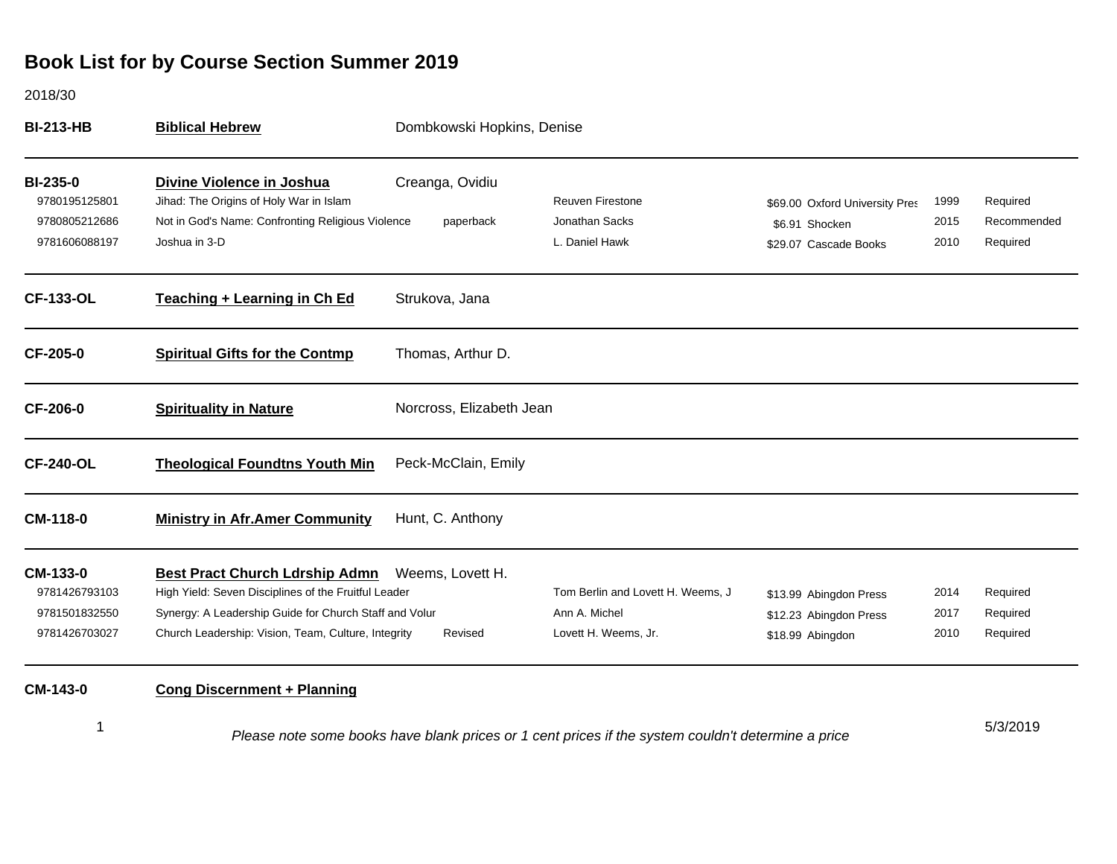2018/30

1

| <b>BI-213-HB</b>                                                   | <b>Biblical Hebrew</b>                                                                                                                                                                                         | Dombkowski Hopkins, Denise   |                                                                            |                                                                           |                      |                                     |
|--------------------------------------------------------------------|----------------------------------------------------------------------------------------------------------------------------------------------------------------------------------------------------------------|------------------------------|----------------------------------------------------------------------------|---------------------------------------------------------------------------|----------------------|-------------------------------------|
| <b>BI-235-0</b><br>9780195125801<br>9780805212686<br>9781606088197 | Divine Violence in Joshua<br>Jihad: The Origins of Holy War in Islam<br>Not in God's Name: Confronting Religious Violence<br>Joshua in 3-D                                                                     | Creanga, Ovidiu<br>paperback | <b>Reuven Firestone</b><br>Jonathan Sacks<br>L. Daniel Hawk                | \$69.00 Oxford University Pres<br>\$6.91 Shocken<br>\$29.07 Cascade Books | 1999<br>2015<br>2010 | Required<br>Recommended<br>Required |
| <b>CF-133-OL</b>                                                   | Teaching + Learning in Ch Ed                                                                                                                                                                                   | Strukova, Jana               |                                                                            |                                                                           |                      |                                     |
| CF-205-0                                                           | <b>Spiritual Gifts for the Contmp</b>                                                                                                                                                                          | Thomas, Arthur D.            |                                                                            |                                                                           |                      |                                     |
| CF-206-0                                                           | <b>Spirituality in Nature</b>                                                                                                                                                                                  | Norcross, Elizabeth Jean     |                                                                            |                                                                           |                      |                                     |
| <b>CF-240-OL</b>                                                   | <b>Theological Foundtns Youth Min</b>                                                                                                                                                                          | Peck-McClain, Emily          |                                                                            |                                                                           |                      |                                     |
| CM-118-0                                                           | <b>Ministry in Afr.Amer Community</b>                                                                                                                                                                          | Hunt, C. Anthony             |                                                                            |                                                                           |                      |                                     |
| CM-133-0<br>9781426793103<br>9781501832550<br>9781426703027        | <b>Best Pract Church Ldrship Admn</b><br>High Yield: Seven Disciplines of the Fruitful Leader<br>Synergy: A Leadership Guide for Church Staff and Volur<br>Church Leadership: Vision, Team, Culture, Integrity | Weems, Lovett H.<br>Revised  | Tom Berlin and Lovett H. Weems, J<br>Ann A. Michel<br>Lovett H. Weems, Jr. | \$13.99 Abingdon Press<br>\$12.23 Abingdon Press<br>\$18.99 Abingdon      | 2014<br>2017<br>2010 | Required<br>Required<br>Required    |
| CM-143-0                                                           | <b>Cong Discernment + Planning</b>                                                                                                                                                                             |                              |                                                                            |                                                                           |                      |                                     |

5/3/2019 *Please note some books have blank prices or 1 cent prices if the system couldn't determine a price*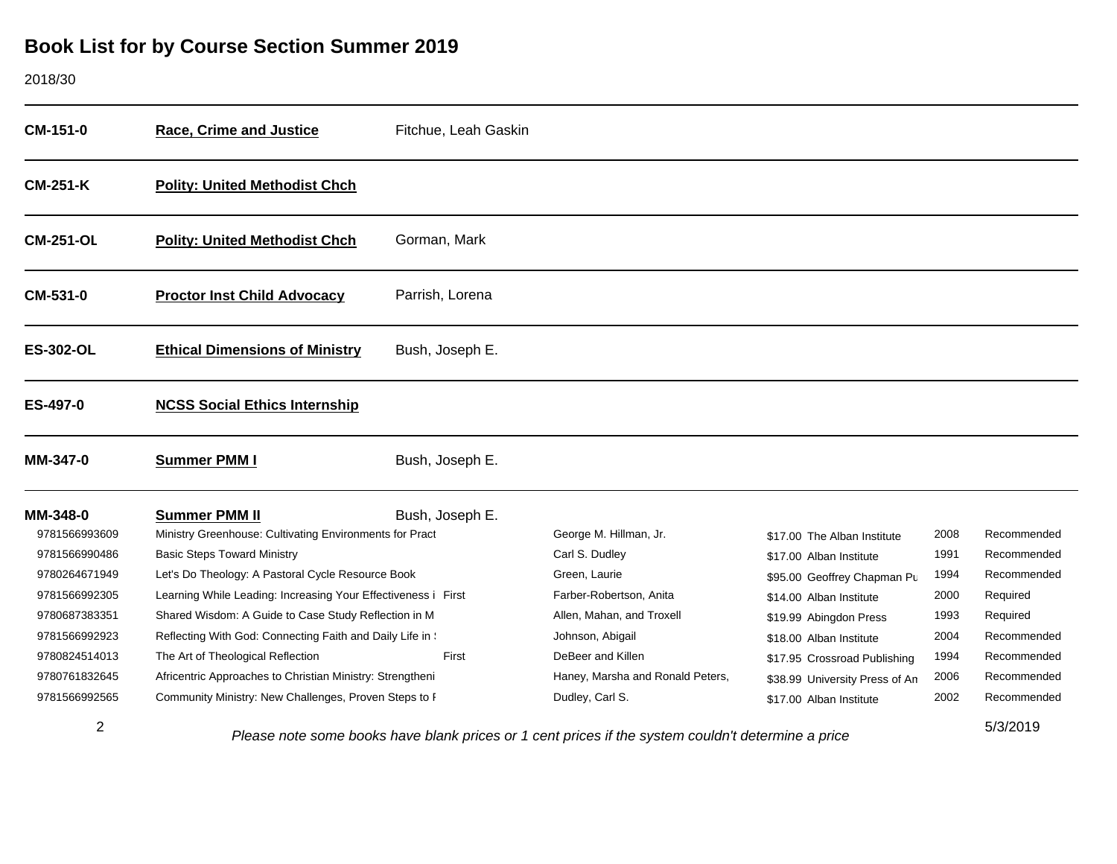#### 2018/30

| CM-151-0         | <b>Race, Crime and Justice</b>                                | Fitchue, Leah Gaskin |                                                                          |                                |      |             |
|------------------|---------------------------------------------------------------|----------------------|--------------------------------------------------------------------------|--------------------------------|------|-------------|
| <b>CM-251-K</b>  | <b>Polity: United Methodist Chch</b>                          |                      |                                                                          |                                |      |             |
| <b>CM-251-OL</b> | <b>Polity: United Methodist Chch</b>                          | Gorman, Mark         |                                                                          |                                |      |             |
| CM-531-0         | <b>Proctor Inst Child Advocacy</b>                            | Parrish, Lorena      |                                                                          |                                |      |             |
| <b>ES-302-OL</b> | <b>Ethical Dimensions of Ministry</b>                         | Bush, Joseph E.      |                                                                          |                                |      |             |
| ES-497-0         | <b>NCSS Social Ethics Internship</b>                          |                      |                                                                          |                                |      |             |
| <b>MM-347-0</b>  | <b>Summer PMM I</b>                                           | Bush, Joseph E.      |                                                                          |                                |      |             |
| MM-348-0         | <b>Summer PMM II</b>                                          | Bush, Joseph E.      |                                                                          |                                |      |             |
| 9781566993609    | Ministry Greenhouse: Cultivating Environments for Pract       |                      | George M. Hillman, Jr.                                                   | \$17.00 The Alban Institute    | 2008 | Recommended |
| 9781566990486    | <b>Basic Steps Toward Ministry</b>                            |                      | Carl S. Dudley                                                           | \$17.00 Alban Institute        | 1991 | Recommended |
| 9780264671949    | Let's Do Theology: A Pastoral Cycle Resource Book             |                      | Green, Laurie                                                            | \$95.00 Geoffrey Chapman Pu    | 1994 | Recommended |
| 9781566992305    | Learning While Leading: Increasing Your Effectiveness i First |                      | Farber-Robertson, Anita                                                  | \$14.00 Alban Institute        | 2000 | Required    |
| 9780687383351    | Shared Wisdom: A Guide to Case Study Reflection in M          |                      | Allen, Mahan, and Troxell                                                | \$19.99 Abingdon Press         | 1993 | Required    |
| 9781566992923    | Reflecting With God: Connecting Faith and Daily Life in \     |                      | Johnson, Abigail                                                         | \$18.00 Alban Institute        | 2004 | Recommended |
| 9780824514013    | The Art of Theological Reflection                             | First                | DeBeer and Killen                                                        | \$17.95 Crossroad Publishing   | 1994 | Recommended |
| 9780761832645    | Africentric Approaches to Christian Ministry: Strengtheni     |                      | Haney, Marsha and Ronald Peters,                                         | \$38.99 University Press of An | 2006 | Recommended |
| 9781566992565    | Community Ministry: New Challenges, Proven Steps to F         |                      | Dudley, Carl S.                                                          | \$17.00 Alban Institute        | 2002 | Recommended |
| $\overline{2}$   |                                                               |                      | بمستملح والمسامل والمستحصر ومستملح والمستحدث والانتكاء المتحدث والمستلمس |                                |      | 5/3/2019    |

*Please note some books have blank prices or 1 cent prices if the system couldn't determine a price*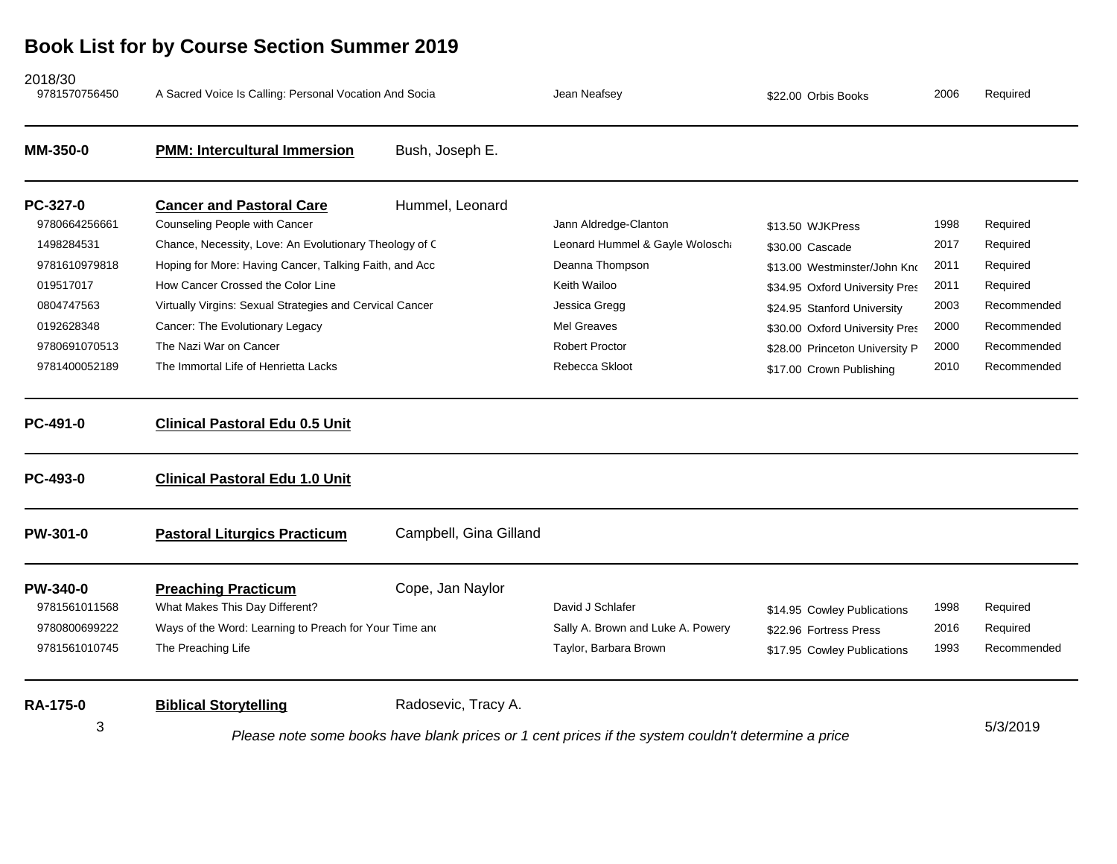| 2018/30<br>9781570756450  | A Sacred Voice Is Calling: Personal Vocation And Socia       |                        | Jean Neafsey                                                                                       | \$22.00 Orbis Books            | 2006 | Required    |
|---------------------------|--------------------------------------------------------------|------------------------|----------------------------------------------------------------------------------------------------|--------------------------------|------|-------------|
| MM-350-0                  | <b>PMM: Intercultural Immersion</b>                          | Bush, Joseph E.        |                                                                                                    |                                |      |             |
| PC-327-0                  | <b>Cancer and Pastoral Care</b>                              | Hummel, Leonard        |                                                                                                    |                                |      |             |
| 9780664256661             | Counseling People with Cancer                                |                        | Jann Aldredge-Clanton                                                                              | \$13.50 WJKPress               | 1998 | Required    |
| 1498284531                | Chance, Necessity, Love: An Evolutionary Theology of C       |                        | Leonard Hummel & Gayle Woloscha                                                                    | \$30.00 Cascade                | 2017 | Required    |
| 9781610979818             | Hoping for More: Having Cancer, Talking Faith, and Acc       |                        | Deanna Thompson                                                                                    | \$13.00 Westminster/John Kno   | 2011 | Required    |
| 019517017                 | How Cancer Crossed the Color Line                            |                        | Keith Wailoo                                                                                       | \$34.95 Oxford University Pres | 2011 | Required    |
| 0804747563                | Virtually Virgins: Sexual Strategies and Cervical Cancer     |                        | Jessica Gregg                                                                                      | \$24.95 Stanford University    | 2003 | Recommended |
| 0192628348                | Cancer: The Evolutionary Legacy                              |                        | <b>Mel Greaves</b>                                                                                 | \$30.00 Oxford University Pres | 2000 | Recommended |
| 9780691070513             | The Nazi War on Cancer                                       |                        | <b>Robert Proctor</b>                                                                              | \$28.00 Princeton University P | 2000 | Recommended |
| 9781400052189             | The Immortal Life of Henrietta Lacks                         |                        | Rebecca Skloot                                                                                     | \$17.00 Crown Publishing       | 2010 | Recommended |
| PC-491-0                  | <b>Clinical Pastoral Edu 0.5 Unit</b>                        |                        |                                                                                                    |                                |      |             |
| PC-493-0                  | <b>Clinical Pastoral Edu 1.0 Unit</b>                        |                        |                                                                                                    |                                |      |             |
| PW-301-0                  | <b>Pastoral Liturgics Practicum</b>                          | Campbell, Gina Gilland |                                                                                                    |                                |      |             |
| PW-340-0<br>9781561011568 | <b>Preaching Practicum</b><br>What Makes This Day Different? | Cope, Jan Naylor       | David J Schlafer                                                                                   | \$14.95 Cowley Publications    | 1998 | Required    |
| 9780800699222             | Ways of the Word: Learning to Preach for Your Time and       |                        | Sally A. Brown and Luke A. Powery                                                                  | \$22.96 Fortress Press         | 2016 | Required    |
| 9781561010745             | The Preaching Life                                           |                        | Taylor, Barbara Brown                                                                              | \$17.95 Cowley Publications    | 1993 | Recommended |
| <b>RA-175-0</b>           | <b>Biblical Storytelling</b>                                 | Radosevic, Tracy A.    |                                                                                                    |                                |      |             |
| 3                         |                                                              |                        | Please note some books have blank prices or 1 cent prices if the system couldn't determine a price |                                |      | 5/3/2019    |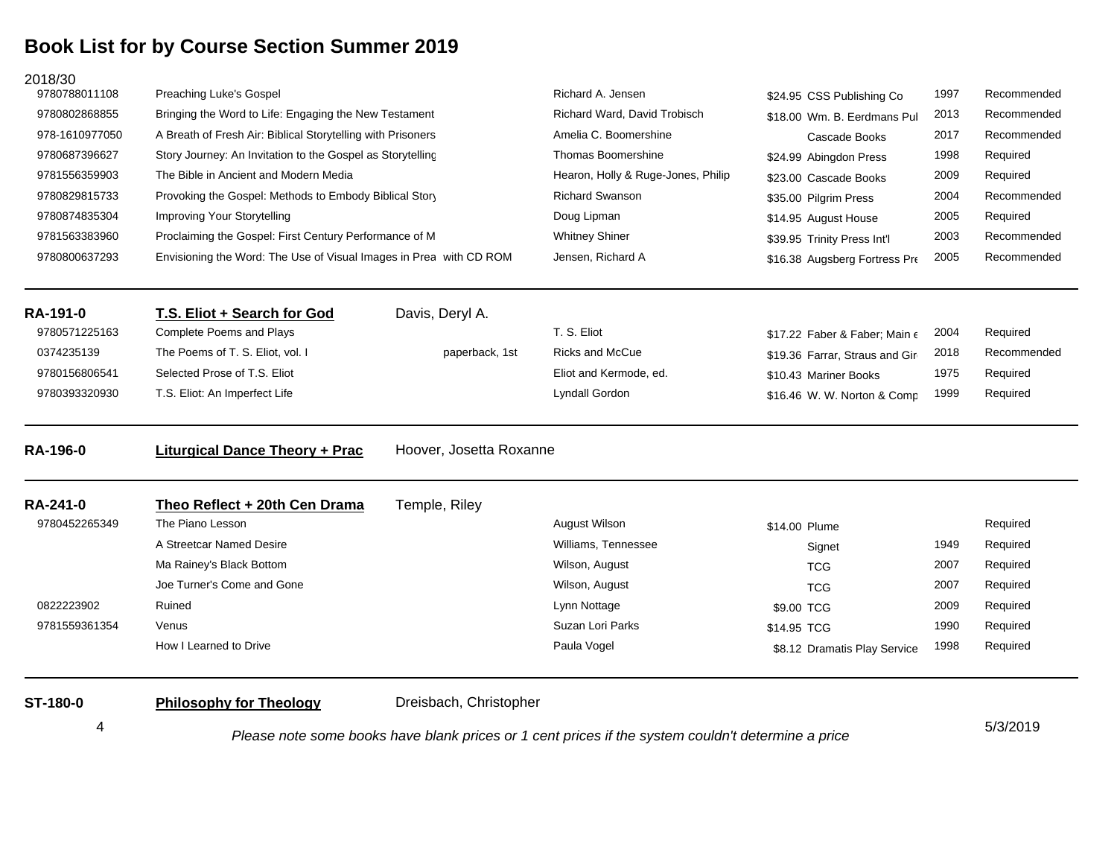4

| 2018/30<br>9780788011108 | Preaching Luke's Gospel                                            |                         | Richard A. Jensen                  | \$24.95 CSS Publishing Co              | 1997 | Recommended |
|--------------------------|--------------------------------------------------------------------|-------------------------|------------------------------------|----------------------------------------|------|-------------|
| 9780802868855            | Bringing the Word to Life: Engaging the New Testament              |                         | Richard Ward, David Trobisch       | \$18.00 Wm. B. Eerdmans Pul            | 2013 | Recommended |
| 978-1610977050           | A Breath of Fresh Air: Biblical Storytelling with Prisoners        |                         | Amelia C. Boomershine              | Cascade Books                          | 2017 | Recommended |
| 9780687396627            | Story Journey: An Invitation to the Gospel as Storytelling         |                         | <b>Thomas Boomershine</b>          | \$24.99 Abingdon Press                 | 1998 | Required    |
| 9781556359903            | The Bible in Ancient and Modern Media                              |                         | Hearon, Holly & Ruge-Jones, Philip | \$23.00 Cascade Books                  | 2009 | Required    |
| 9780829815733            | Provoking the Gospel: Methods to Embody Biblical Story             |                         | <b>Richard Swanson</b>             | \$35.00 Pilgrim Press                  | 2004 | Recommended |
| 9780874835304            | Improving Your Storytelling                                        |                         | Doug Lipman                        | \$14.95 August House                   | 2005 | Required    |
| 9781563383960            | Proclaiming the Gospel: First Century Performance of M             |                         | <b>Whitney Shiner</b>              | \$39.95 Trinity Press Int'l            | 2003 | Recommended |
| 9780800637293            | Envisioning the Word: The Use of Visual Images in Prea with CD ROM |                         | Jensen, Richard A                  | \$16.38 Augsberg Fortress Pre          | 2005 | Recommended |
| <b>RA-191-0</b>          | T.S. Eliot + Search for God                                        | Davis, Deryl A.         |                                    |                                        |      |             |
| 9780571225163            | <b>Complete Poems and Plays</b>                                    |                         | T. S. Eliot                        | \$17.22 Faber & Faber: Main $\epsilon$ | 2004 | Required    |
| 0374235139               | The Poems of T. S. Eliot, vol. I                                   | paperback, 1st          | <b>Ricks and McCue</b>             | \$19.36 Farrar, Straus and Giri        | 2018 | Recommended |
| 9780156806541            | Selected Prose of T.S. Eliot                                       |                         | Eliot and Kermode, ed.             | \$10.43 Mariner Books                  | 1975 | Required    |
| 9780393320930            | T.S. Eliot: An Imperfect Life                                      |                         | Lyndall Gordon                     | \$16.46 W. W. Norton & Comp            | 1999 | Required    |
| RA-196-0                 | <b>Liturgical Dance Theory + Prac</b>                              | Hoover, Josetta Roxanne |                                    |                                        |      |             |
| RA-241-0                 | Theo Reflect + 20th Cen Drama                                      | Temple, Riley           |                                    |                                        |      |             |
| 9780452265349            | The Piano Lesson                                                   |                         | August Wilson                      | \$14.00 Plume                          |      | Required    |
|                          | A Streetcar Named Desire                                           |                         | Williams, Tennessee                | Signet                                 | 1949 | Required    |
|                          | Ma Rainey's Black Bottom                                           |                         | Wilson, August                     | <b>TCG</b>                             | 2007 | Required    |
|                          | Joe Turner's Come and Gone                                         |                         | Wilson, August                     | <b>TCG</b>                             | 2007 | Required    |
| 0822223902               | Ruined                                                             |                         | Lynn Nottage                       | \$9.00 TCG                             | 2009 | Required    |
| 9781559361354            | Venus                                                              |                         | Suzan Lori Parks                   | \$14.95 TCG                            | 1990 | Required    |
|                          | How I Learned to Drive                                             |                         | Paula Vogel                        | \$8.12 Dramatis Play Service           | 1998 | Required    |
| ST-180-0                 | <b>Philosophy for Theology</b>                                     | Dreisbach, Christopher  |                                    |                                        |      |             |

*Please note some books have blank prices or 1 cent prices if the system couldn't determine a price*

5/3/2019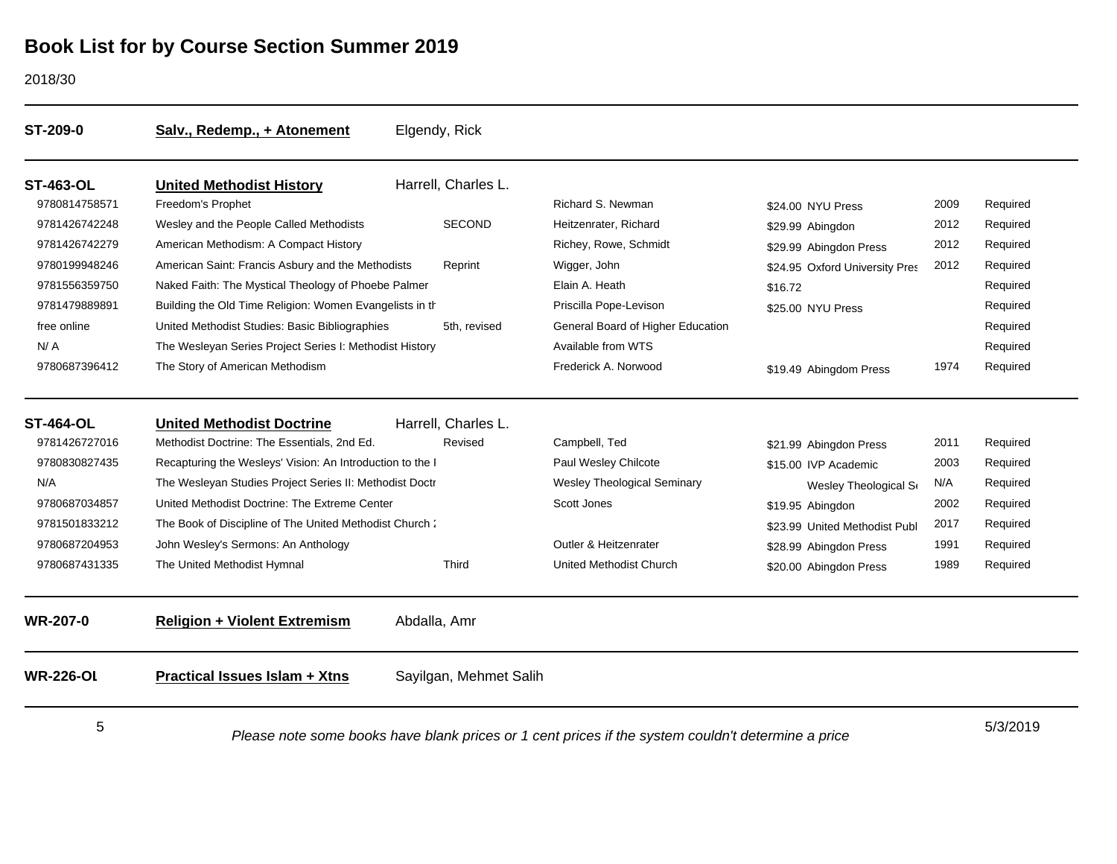#### 2018/30

| ST-209-0         | Salv., Redemp., + Atonement                                                                        |              | Elgendy, Rick                      |                                   |                                |          |          |
|------------------|----------------------------------------------------------------------------------------------------|--------------|------------------------------------|-----------------------------------|--------------------------------|----------|----------|
| <b>ST-463-OL</b> | <b>United Methodist History</b>                                                                    |              | Harrell, Charles L.                |                                   |                                |          |          |
| 9780814758571    | Freedom's Prophet                                                                                  |              |                                    | Richard S. Newman                 | \$24.00 NYU Press              | 2009     | Required |
| 9781426742248    | Wesley and the People Called Methodists                                                            |              | <b>SECOND</b>                      | Heitzenrater, Richard             | \$29.99 Abingdon               | 2012     | Required |
| 9781426742279    | American Methodism: A Compact History                                                              |              |                                    | Richey, Rowe, Schmidt             | \$29.99 Abingdon Press         | 2012     | Required |
| 9780199948246    | American Saint: Francis Asbury and the Methodists                                                  |              | Reprint                            | Wigger, John                      | \$24.95 Oxford University Pres | 2012     | Required |
| 9781556359750    | Naked Faith: The Mystical Theology of Phoebe Palmer                                                |              |                                    | Elain A. Heath                    | \$16.72                        |          | Required |
| 9781479889891    | Building the Old Time Religion: Women Evangelists in th                                            |              |                                    | Priscilla Pope-Levison            | \$25.00 NYU Press              |          | Required |
| free online      | United Methodist Studies: Basic Bibliographies                                                     |              | 5th, revised                       | General Board of Higher Education |                                |          | Required |
| N/A              | The Wesleyan Series Project Series I: Methodist History                                            |              |                                    | Available from WTS                |                                |          | Required |
| 9780687396412    | The Story of American Methodism                                                                    |              |                                    | Frederick A. Norwood              | \$19.49 Abingdom Press         | 1974     | Required |
| <b>ST-464-OL</b> | <b>United Methodist Doctrine</b>                                                                   |              | Harrell, Charles L.                |                                   |                                |          |          |
| 9781426727016    | Methodist Doctrine: The Essentials, 2nd Ed.                                                        |              | Revised                            | Campbell, Ted                     | \$21.99 Abingdon Press         | 2011     | Required |
| 9780830827435    | Recapturing the Wesleys' Vision: An Introduction to the I                                          |              |                                    | Paul Wesley Chilcote              | \$15.00 IVP Academic           | 2003     | Required |
| N/A              | The Wesleyan Studies Project Series II: Methodist Doctr                                            |              | <b>Wesley Theological Seminary</b> | Wesley Theological S              | N/A                            | Required |          |
| 9780687034857    | United Methodist Doctrine: The Extreme Center                                                      |              |                                    | Scott Jones                       | \$19.95 Abingdon               | 2002     | Required |
| 9781501833212    | The Book of Discipline of The United Methodist Church:                                             |              |                                    |                                   | \$23.99 United Methodist Publ  | 2017     | Required |
| 9780687204953    | John Wesley's Sermons: An Anthology                                                                |              |                                    | Outler & Heitzenrater             | \$28.99 Abingdon Press         | 1991     | Required |
| 9780687431335    | The United Methodist Hymnal                                                                        |              | <b>Third</b>                       | United Methodist Church           | \$20.00 Abingdon Press         | 1989     | Required |
| <b>WR-207-0</b>  | <b>Religion + Violent Extremism</b>                                                                | Abdalla, Amr |                                    |                                   |                                |          |          |
| <b>WR-226-OL</b> | <b>Practical Issues Islam + Xtns</b>                                                               |              | Sayilgan, Mehmet Salih             |                                   |                                |          |          |
| 5                | Please note some books have blank prices or 1 cent prices if the system couldn't determine a price |              |                                    |                                   |                                | 5/3/2019 |          |